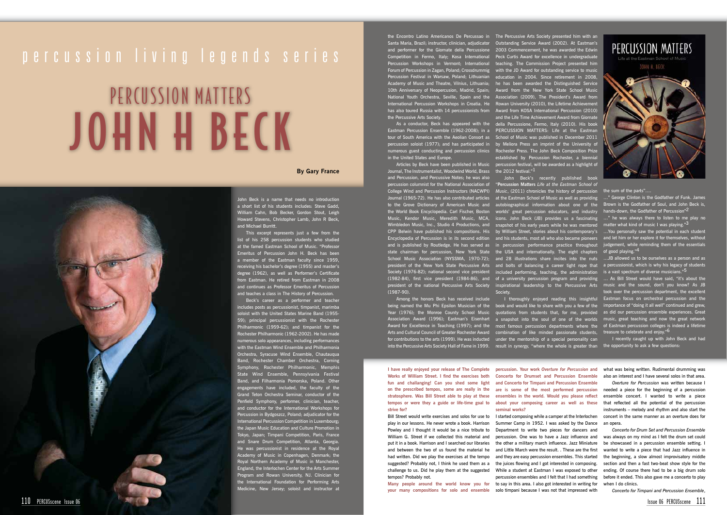## PERCUSSION MATTERS JOHN H BECK

### percussion living legends series

#### **By Gary France**

John Beck is a name that needs no introduction a short list of his students includes: Steve Gadd, William Cahn, Bob Becker, Gordon Stout, Leigh Howard Stevens, Christopher Lamb, John R Beck, and Michael Burritt.

This excerpt represents just a few from the list of his 258 percussion students who studied at the famed Eastman School of Music. "Professor Emeritus of Percussion John H. Beck has been a member of the Eastman faculty since 1959, receiving his bachelor's degree (1955) and master's degree (1962), as well as Performer's Certificate from Eastman. He retired from Eastman in 2008 and continues as Professor Emeritus of Percussion and teaches a class in The History of Percussion.

Beck's career as a performer and teacher includes posts as percussionist, timpanist, marimba soloist with the United States Marine Band (1955- 59); principal percussionist with the Rochester Philharmonic (1959-62); and timpanist for the Rochester Philharmonic (1962-2002). He has made numerous solo appearances, including performances with the Eastman Wind Ensemble and Phil Orchestra, Syracuse Wind Ensemble, Chautauqua Band, Rochester Chamber Orchestra, Corning Symphony, Rochester Philharmonic, Memphis State Wind Ensemble, Pennsylvania Festival Band, and Filharmonia Pomorska, Poland. Other engagements have included, the faculty of the Grand Teton Orchestra Seminar, conductor of the Penfield Symphony, performer, clinician, teacher, and conductor for the International Workshops for Percussion in Bydgoszcz, Poland; adjudicator for the International Percussion Competition in Luxembourg; the Japan Music Education and Culture Promotion in Tokyo, Japan; Timpani Competition, Paris, France and Snare Drum Competition, Atlanta, Georgia. He was percussionist in residence at the Royal Academy of Music in Copenhagen, Denmark; the Royal Northern Academy of Music in Manchester, England, the Interlochen Center for the Arts Summer Program and Rowan University, NJ. Clinician for the International Foundation for Performing Arts Medicine, New Jersey; soloist and instructor at

Journal, The Instrumentalist, Woodwind World, Brass  $\;$  the 2012 festival." $^1$ and Percussion, and Percussive Notes; he was also president of the New York State Percussive Arts president of the national Percussive Arts Society (1987-90).

Among the honors Beck has received include being named the Mu Phi Epsilon Musician of the book and would like to share with you a few of the Year (1976); the Monroe County School Music quotations from students that, for me, provided Association Award (1996); Eastman's Eisenhart Award for Excellence in Teaching (1997); and the Arts and Cultural Council of Greater Rochester Award for contributions to the arts (1999). He was inducted under the mentorship of a special personality can into the Percussive Arts Society Hall of Fame in 1999. result in *synergy,* "where the whole is greater than

Santa Maria, Brazil; instructor, clinician, adjudicator Outstanding Service Award (2002). At Eastman's and performer for the Giornate della Percussione 2003 Commencement, he was awarded the Edwin Competition in Fermo, Italy; Kosa International Peck Curtis Award for excellence in undergraduate Percussion Workshops in Vermont; International teaching. The Commission Project presented him Forum of Percussion in Zagan, Poland; Crossdrummig with the JD Award for outstanding service to music Percussion Festival in Warsaw, Poland; Lithuanian education in 2004. Since retirement in 2008, Academy of Music and Theatre, Vilnius, Lithuania; he has been awarded the Distinguished Service 10th Anniversary of Neopercusion, Madrid, Spain; Award from the New York State School Music National Youth Orchestra, Seville, Spain and the Association (2009), The President's Award from International Percussion Workshops in Croatia. He Rowan University (2010), the Lifetime Achievement has also toured Russia with 14 percussionists from Award from KOSA International Percussion (2010) the Percussive Arts Society.

tour of South America with the Aeolian Consort as percussion soloist (1977); and has participated in in the United States and Europe.

the Encontro Latino Americanos De Percussao in The Percussive Arts Society presented him with an As a conductor, Beck has appeared with the della Percussione, Fermo, Italy (2010). His book Eastman Percussion Ensemble (1962-2008); in a PERCUSSION MATTERS: Life at the Eastman numerous guest conducting and percussion clinics Rochester Press. The John Beck Composition Prize Articles by Beck have been published in Music percussion festival, will be awarded as a highlight of and the Life Time Achievement Award from Giornate School of Music was published in December 2011 by Meliora Press an imprint of the University of established by Percussion Rochester, a biennial

play in our lessons. He never wrote a book. Harrison Summer Camp in 1952. I was asked by the Dance an opera. suggested? Probably not, I think he used them as a the juices flowing and I got interested in composing. challenge to us. Did he play them at the suggested While a student at Eastman I was exposed to other **Many people around the world know you for**  to say in this area. I also got interested in writing for Department to write two pieces for dancers and percussion. One was to have a Jazz influence and the other a military march influence. Jazz Miniature and Little March were the result. . These are the first and they are easy percussion ensembles. This started percussion ensembles and I felt that I had something



Bill Street would write exercises and solos for use to I started composing while a camper at the Interlochen concert in the same manner as an overture does for *Overture for Percussion* was written because I needed a piece for the beginning of a percussion ensemble concert. I wanted to write a piece that reflected all the potential of the percussion instruments – melody and rhythm and also start the

percussion columnist for the National Association of "**Percussion Matters** *Life at the Eastman School of*  College Wind and Percussion Instructors (NACWPI) Music, (2011) chronicles the history of percussion the sum of the parts".... Journal (1965-72). He has also contributed articles at the Eastman School of Music as well as providing to the Grove Dictionary of American Music and autobiographical information about one of the the World Book Encyclopedia. Carl Fischer, Boston worlds' great percussion educators, and industry Music, Kendor Music, Meredith Music, MCA, icons. John Beck (JB) provides us a fascinating Wimbledon Music, Inc., Studio 4 Productions, and snapshot of his early years while he was mentored CPP Belwin have published his compositions. His by William Street, stories about his contemporary's Encyclopedia of Percussion is in its second edition and his students, most all who also became pioneers and is published by Routledge. He has served as in percussion performance practice throughout judgement, while reminding them of the essentials state chairman for percussion, New York State the USA and internationally. The eight chapters of good playing."<sup>4</sup> School Music Association (NYSSMA, 1970-72); and 28 illustrations share incites into the nuts ... JB allowed us to be ourselves as a person and as Society (1976-82); national second vice president included performing, teaching, the administration is a vast spectrum of diverse musicians."<sup>5</sup> (1982-84), first vice president (1984-86), and of a university percussion program and providing ... As Bill Street would have said, "it's about the John Beck's recently published book and bolts of balancing a career tight rope that a percussionist, which is why his legacy of students inspirational leadership to the Percussive Arts Society. …" George Clinton is the Godfather of Funk. James Brown is the Godfather of Soul, and John Beck is, hands-down, the Godfather of Percussion"2 …" he was always there to listen to me play no matter what kind of music I was playing."3 …You personally saw the potential in each student and let him or her explore it for themselves, without

a snapshot into the soul of one of the worlds most famous percussion departments where the combination of like minded passionate students,

I thoroughly enjoyed reading this insightful Eastman focus on orchestral percussion and the music and the sound, don't you know? As JB took over the percussion department, the excellent  $\frac{1}{2}$  importance of "doing it all well" continu as did our percussion ensemble expe music, great teaching and now the great network of Eastman percussion colleges is indeed a lifetime treasure to celebrate and enjoy."6

> I recently caught up with John Beck and had the opportunity to ask a few questions:

**I have really enjoyed your release of The Complete Works of William Street. I find the exercises both fun and challanging! Can you shed some light on the prescribed tempos, some are really in the stratosphere. Was Bill Street able to play at these strive for?**

Powley and I thought it would be a nice tribute to William G. Street if we collected this material and put it in a book. Harrison and I searched our libraries and between the two of us found the material he had written. Did we play the exercises at the tempo tempos? Probably not.

**tempos or were they a guide or life-time goal to about your composing career as well as these percussion. Your work** *Overture for Percussion* **and Concerto for Drumset and Percussion Ensemble and Concerto for Timpani and Percussion Ensemble are is some of the most performed percussion ensembles in the world. Would you please reflect seminal works?**

**your many compositions for solo and ensemble**  solo timpani because I was not that impressed with

what was being written. Rudimental drumming was also an interest and I have several solos in that area.

*Concerto for Drum Set and Percussion Ensemble* was always on my mind as I felt the drum set could be showcased in a percussion ensemble setting. I wanted to write a piece that had Jazz influence in the beginning, a slow almost improvisatory middle section and then a fast two-beat show style for the ending. Of course there had to be a big drum solo before it ended. This also gave me a concerto to play when I do clinics.

*Concerto for Timpani and Percussion Ensemble*,